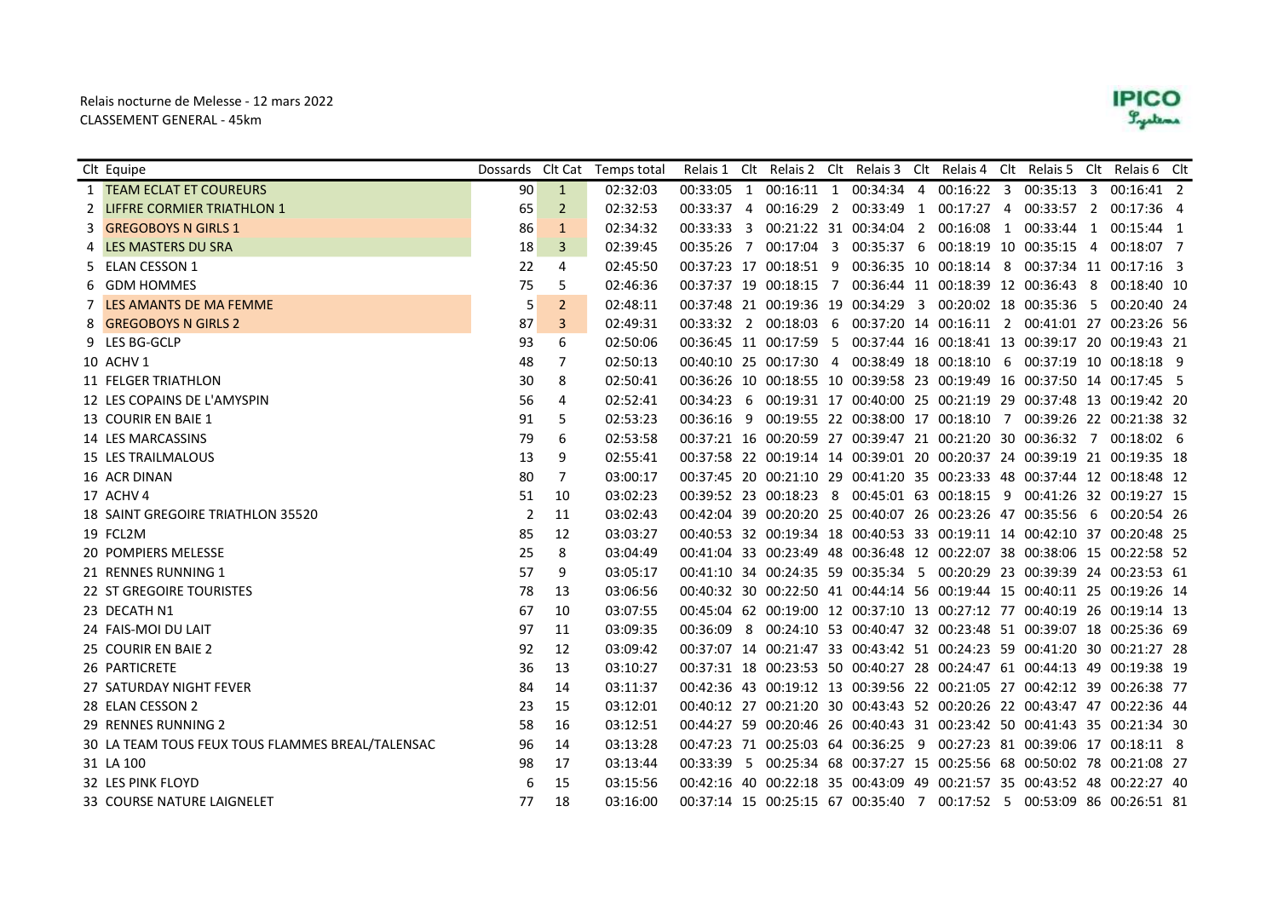## Relais nocturne de Melesse - 12 mars 2022 CLASSEMENT GENERAL - 45km



|   | Clt Equipe                                       | Dossards Clt Cat |                | Temps total |            |                | Relais 1 Clt Relais 2 Clt Relais 3 Clt Relais 4 Clt Relais 5 Clt Relais 6 Clt |                                   |            |                                                             |                |                         |  |
|---|--------------------------------------------------|------------------|----------------|-------------|------------|----------------|-------------------------------------------------------------------------------|-----------------------------------|------------|-------------------------------------------------------------|----------------|-------------------------|--|
|   | 1 <b>TEAM ECLAT ET COUREURS</b>                  | 90               | $\mathbf{1}$   | 02:32:03    | 00:33:05   | 1              |                                                                               | 00:16:11 1 00:34:34 4             | 00:16:22 3 | 00:35:13                                                    | 3              | $00:16:41$ 2            |  |
|   | 2 LIFFRE CORMIER TRIATHLON 1                     | 65               | $\overline{2}$ | 02:32:53    | 00:33:37 4 |                |                                                                               | 00:16:29 2 00:33:49 1 00:17:27 4  |            | 00:33:57 2                                                  |                | 00:17:36 4              |  |
| 3 | <b>GREGOBOYS N GIRLS 1</b>                       | 86               | 1              | 02:34:32    | 00:33:33   | -3             |                                                                               | 00:21:22 31 00:34:04 2 00:16:08 1 |            | 00:33:44 1                                                  |                | $00:15:44$ 1            |  |
|   | LES MASTERS DU SRA                               | 18               | 3              | 02:39:45    | 00:35:26   | $\overline{7}$ | 00:17:04 3                                                                    | 00:35:37 6                        |            | 00:18:19 10 00:35:15                                        | $\overline{4}$ | 00:18:07 7              |  |
|   | 5 ELAN CESSON 1                                  | 22               | 4              | 02:45:50    |            |                | 00:37:23 17 00:18:51 9                                                        |                                   |            | 00:36:35 10 00:18:14 8 00:37:34 11 00:17:16 3               |                |                         |  |
| 6 | <b>GDM HOMMES</b>                                | 75               | 5              | 02:46:36    |            |                | 00:37:37 19 00:18:15 7                                                        |                                   |            | 00:36:44 11 00:18:39 12 00:36:43                            | - 8            | 00:18:40 10             |  |
|   | 7 LES AMANTS DE MA FEMME                         | 5                | $\overline{2}$ | 02:48:11    |            |                | 00:37:48 21 00:19:36 19 00:34:29 3 00:20:02 18 00:35:36                       |                                   |            |                                                             | - 5            | 00:20:40 24             |  |
|   | <b>GREGOBOYS N GIRLS 2</b>                       | 87               | 3              | 02:49:31    |            |                | 00:33:32 2 00:18:03 6                                                         |                                   |            | 00:37:20 14 00:16:11 2 00:41:01 27 00:23:26 56              |                |                         |  |
|   | 9 LES BG-GCLP                                    | 93               | 6              | 02:50:06    |            |                | 00:36:45 11 00:17:59 5                                                        |                                   |            | 00:37:44 16 00:18:41 13 00:39:17 20 00:19:43 21             |                |                         |  |
|   | 10 ACHV 1                                        | 48               | 7              | 02:50:13    |            |                | 00:40:10 25 00:17:30 4                                                        | 00:38:49 18 00:18:10 6            |            | 00:37:19 10 00:18:18 9                                      |                |                         |  |
|   | 11 FELGER TRIATHLON                              | 30               | 8              | 02:50:41    |            |                | 00:36:26 10 00:18:55 10 00:39:58 23 00:19:49 16 00:37:50 14 00:17:45 5        |                                   |            |                                                             |                |                         |  |
|   | 12 LES COPAINS DE L'AMYSPIN                      | 56               | 4              | 02:52:41    | 00:34:23   | 6              |                                                                               |                                   |            | 00:19:31 17 00:40:00 25 00:21:19 29 00:37:48 13 00:19:42 20 |                |                         |  |
|   | 13 COURIR EN BAIE 1                              | 91               | 5              | 02:53:23    | 00:36:16   | -9             | 00:19:55 22 00:38:00 17 00:18:10 7 00:39:26 22 00:21:38 32                    |                                   |            |                                                             |                |                         |  |
|   | 14 LES MARCASSINS                                | 79               | 6              | 02:53:58    |            |                | 00:37:21 16 00:20:59 27 00:39:47 21 00:21:20 30 00:36:32 7 00:18:02 6         |                                   |            |                                                             |                |                         |  |
|   | <b>15 LES TRAILMALOUS</b>                        | 13               | 9              | 02:55:41    |            |                | 00:37:58 22 00:19:14 14 00:39:01 20 00:20:37 24 00:39:19 21 00:19:35 18       |                                   |            |                                                             |                |                         |  |
|   | 16 ACR DINAN                                     | 80               | 7              | 03:00:17    |            |                | 00:37:45 20 00:21:10 29 00:41:20 35 00:23:33 48 00:37:44 12 00:18:48 12       |                                   |            |                                                             |                |                         |  |
|   | 17 ACHV 4                                        | 51               | 10             | 03:02:23    |            |                | 00:39:52 23 00:18:23 8                                                        | 00:45:01 63 00:18:15 9            |            |                                                             |                | 00:41:26 32 00:19:27 15 |  |
|   | 18 SAINT GREGOIRE TRIATHLON 35520                | $\overline{2}$   | 11             | 03:02:43    |            |                | 00:42:04 39 00:20:20 25 00:40:07 26 00:23:26 47 00:35:56 6                    |                                   |            |                                                             |                | 00:20:54 26             |  |
|   | 19 FCL2M                                         | 85               | 12             | 03:03:27    |            |                | 00:40:53 32 00:19:34 18 00:40:53 33 00:19:11 14 00:42:10 37 00:20:48 25       |                                   |            |                                                             |                |                         |  |
|   | 20 POMPIERS MELESSE                              | 25               | 8              | 03:04:49    |            |                | 00:41:04 33 00:23:49 48 00:36:48 12 00:22:07 38 00:38:06 15 00:22:58 52       |                                   |            |                                                             |                |                         |  |
|   | 21 RENNES RUNNING 1                              | 57               | 9              | 03:05:17    |            |                | 00:41:10 34 00:24:35 59 00:35:34 5 00:20:29 23 00:39:39 24 00:23:53 61        |                                   |            |                                                             |                |                         |  |
|   | 22 ST GREGOIRE TOURISTES                         | 78               | 13             | 03:06:56    |            |                | 00:40:32 30 00:22:50 41 00:44:14 56 00:19:44 15 00:40:11 25 00:19:26 14       |                                   |            |                                                             |                |                         |  |
|   | 23 DECATH N1                                     | 67               | 10             | 03:07:55    |            |                | 00:45:04 62 00:19:00 12 00:37:10 13 00:27:12 77 00:40:19 26 00:19:14 13       |                                   |            |                                                             |                |                         |  |
|   | 24 FAIS-MOI DU LAIT                              | 97               | 11             | 03:09:35    | 00:36:09   | 8              |                                                                               |                                   |            | 00:24:10 53 00:40:47 32 00:23:48 51 00:39:07 18 00:25:36 69 |                |                         |  |
|   | 25 COURIR EN BAIE 2                              | 92               | 12             | 03:09:42    |            |                | 00:37:07 14 00:21:47 33 00:43:42 51 00:24:23 59 00:41:20 30 00:21:27 28       |                                   |            |                                                             |                |                         |  |
|   | 26 PARTICRETE                                    | 36               | 13             | 03:10:27    |            |                | 00:37:31 18 00:23:53 50 00:40:27 28 00:24:47 61 00:44:13 49 00:19:38 19       |                                   |            |                                                             |                |                         |  |
|   | 27 SATURDAY NIGHT FEVER                          | 84               | 14             | 03:11:37    |            |                | 00:42:36 43 00:19:12 13 00:39:56 22 00:21:05 27 00:42:12 39 00:26:38 77       |                                   |            |                                                             |                |                         |  |
|   | 28 ELAN CESSON 2                                 | 23               | 15             | 03:12:01    |            |                | 00:40:12 27 00:21:20 30 00:43:43 52 00:20:26 22 00:43:47 47 00:22:36 44       |                                   |            |                                                             |                |                         |  |
|   | 29 RENNES RUNNING 2                              | 58               | 16             | 03:12:51    |            |                | 00:44:27 59 00:20:46 26 00:40:43 31 00:23:42 50 00:41:43 35 00:21:34 30       |                                   |            |                                                             |                |                         |  |
|   | 30 LA TEAM TOUS FEUX TOUS FLAMMES BREAL/TALENSAC | 96               | 14             | 03:13:28    |            |                | 00:47:23 71 00:25:03 64 00:36:25 9 00:27:23 81 00:39:06 17 00:18:11 8         |                                   |            |                                                             |                |                         |  |
|   | 31 LA 100                                        | 98               | 17             | 03:13:44    | 00:33:39 5 |                |                                                                               |                                   |            | 00:25:34 68 00:37:27 15 00:25:56 68 00:50:02 78 00:21:08 27 |                |                         |  |
|   | 32 LES PINK FLOYD                                | 6                | 15             | 03:15:56    |            |                | 00:42:16 40 00:22:18 35 00:43:09 49 00:21:57 35 00:43:52 48 00:22:27 40       |                                   |            |                                                             |                |                         |  |
|   | 33 COURSE NATURE LAIGNELET                       | 77               | 18             | 03:16:00    |            |                | 00:37:14 15 00:25:15 67 00:35:40 7 00:17:52 5 00:53:09 86 00:26:51 81         |                                   |            |                                                             |                |                         |  |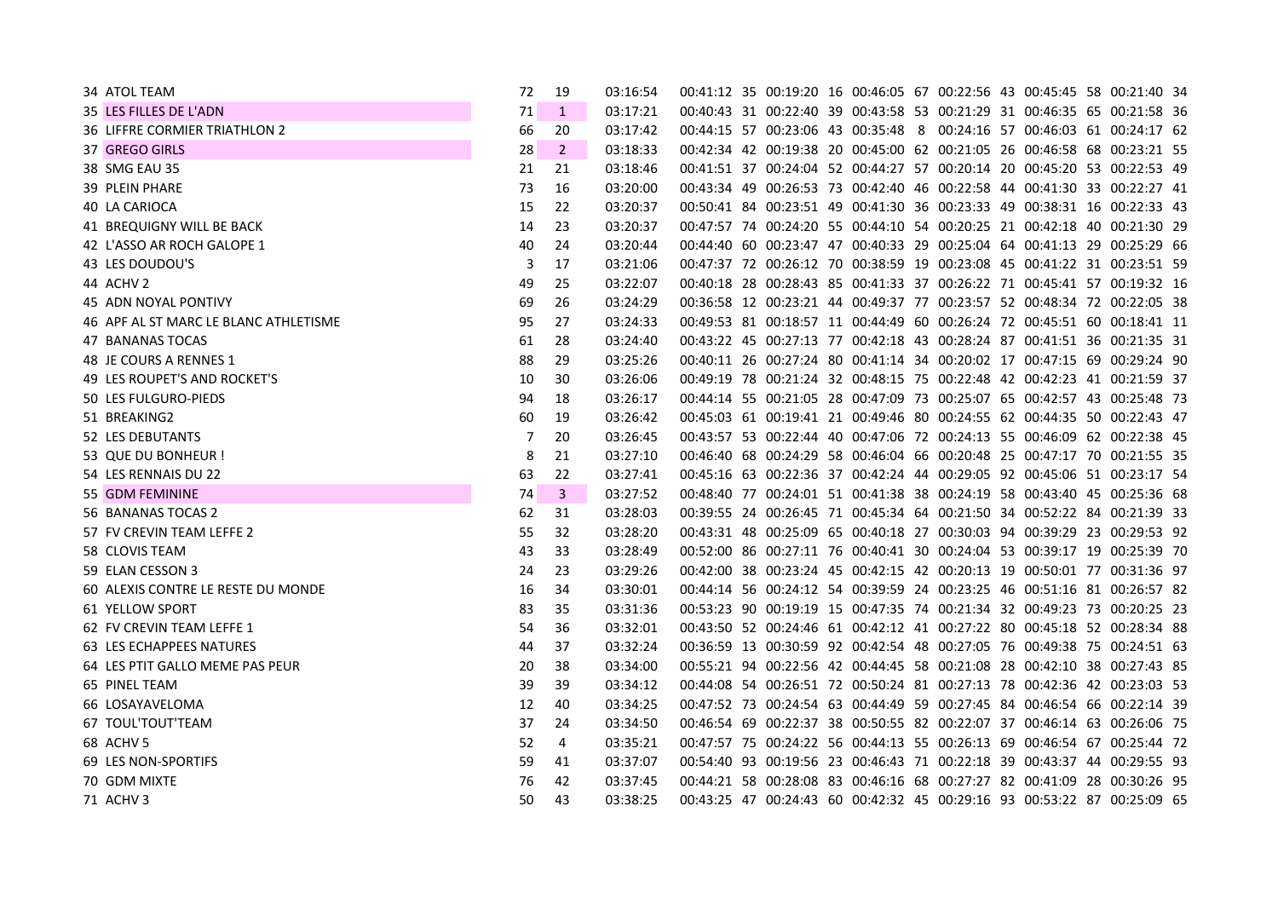| 34 ATOL TEAM                          | 72 | 19             | 03:16:54 |  | 00:41:12 35 00:19:20 16 00:46:05 67 00:22:56 43 00:45:45 58 00:21:40 34 |  |  |  |  |  |
|---------------------------------------|----|----------------|----------|--|-------------------------------------------------------------------------|--|--|--|--|--|
| 35 LES FILLES DE L'ADN                | 71 | $\mathbf{1}$   | 03:17:21 |  | 00:40:43 31 00:22:40 39 00:43:58 53 00:21:29 31 00:46:35 65 00:21:58 36 |  |  |  |  |  |
| <b>36 LIFFRE CORMIER TRIATHLON 2</b>  | 66 | 20             | 03:17:42 |  | 00:44:15 57 00:23:06 43 00:35:48 8 00:24:16 57 00:46:03 61 00:24:17 62  |  |  |  |  |  |
| 37 GREGO GIRLS                        | 28 | $\overline{2}$ | 03:18:33 |  | 00:42:34 42 00:19:38 20 00:45:00 62 00:21:05 26 00:46:58 68 00:23:21 55 |  |  |  |  |  |
| 38 SMG EAU 35                         | 21 | 21             | 03:18:46 |  | 00:41:51 37 00:24:04 52 00:44:27 57 00:20:14 20 00:45:20 53 00:22:53 49 |  |  |  |  |  |
| 39 PLEIN PHARE                        | 73 | 16             | 03:20:00 |  | 00:43:34 49 00:26:53 73 00:42:40 46 00:22:58 44 00:41:30 33 00:22:27 41 |  |  |  |  |  |
| 40 LA CARIOCA                         | 15 | 22             | 03:20:37 |  | 00:50:41 84 00:23:51 49 00:41:30 36 00:23:33 49 00:38:31 16 00:22:33 43 |  |  |  |  |  |
| 41 BREQUIGNY WILL BE BACK             | 14 | 23             | 03:20:37 |  | 00:47:57 74 00:24:20 55 00:44:10 54 00:20:25 21 00:42:18 40 00:21:30 29 |  |  |  |  |  |
| 42 L'ASSO AR ROCH GALOPE 1            | 40 | 24             | 03:20:44 |  | 00:44:40 60 00:23:47 47 00:40:33 29 00:25:04 64 00:41:13 29 00:25:29 66 |  |  |  |  |  |
| 43 LES DOUDOU'S                       | 3  | 17             | 03:21:06 |  | 00:47:37 72 00:26:12 70 00:38:59 19 00:23:08 45 00:41:22 31 00:23:51 59 |  |  |  |  |  |
| 44 ACHV 2                             | 49 | 25             | 03:22:07 |  | 00:40:18 28 00:28:43 85 00:41:33 37 00:26:22 71 00:45:41 57 00:19:32 16 |  |  |  |  |  |
| 45 ADN NOYAL PONTIVY                  | 69 | 26             | 03:24:29 |  | 00:36:58 12 00:23:21 44 00:49:37 77 00:23:57 52 00:48:34 72 00:22:05 38 |  |  |  |  |  |
| 46 APF AL ST MARC LE BLANC ATHLETISME | 95 | 27             | 03:24:33 |  | 00:49:53 81 00:18:57 11 00:44:49 60 00:26:24 72 00:45:51 60 00:18:41 11 |  |  |  |  |  |
| <b>47 BANANAS TOCAS</b>               | 61 | 28             | 03:24:40 |  | 00:43:22 45 00:27:13 77 00:42:18 43 00:28:24 87 00:41:51 36 00:21:35 31 |  |  |  |  |  |
| 48 JE COURS A RENNES 1                | 88 | 29             | 03:25:26 |  | 00:40:11 26 00:27:24 80 00:41:14 34 00:20:02 17 00:47:15 69 00:29:24 90 |  |  |  |  |  |
| 49 LES ROUPET'S AND ROCKET'S          | 10 | 30             | 03:26:06 |  | 00:49:19 78 00:21:24 32 00:48:15 75 00:22:48 42 00:42:23 41 00:21:59 37 |  |  |  |  |  |
| 50 LES FULGURO-PIEDS                  | 94 | 18             | 03:26:17 |  | 00:44:14 55 00:21:05 28 00:47:09 73 00:25:07 65 00:42:57 43 00:25:48 73 |  |  |  |  |  |
| 51 BREAKING2                          | 60 | 19             | 03:26:42 |  | 00:45:03 61 00:19:41 21 00:49:46 80 00:24:55 62 00:44:35 50 00:22:43 47 |  |  |  |  |  |
| 52 LES DEBUTANTS                      | 7  | 20             | 03:26:45 |  | 00:43:57 53 00:22:44 40 00:47:06 72 00:24:13 55 00:46:09 62 00:22:38 45 |  |  |  |  |  |
| 53 QUE DU BONHEUR !                   | 8  | 21             | 03:27:10 |  | 00:46:40 68 00:24:29 58 00:46:04 66 00:20:48 25 00:47:17 70 00:21:55 35 |  |  |  |  |  |
| 54 LES RENNAIS DU 22                  | 63 | 22             | 03:27:41 |  | 00:45:16 63 00:22:36 37 00:42:24 44 00:29:05 92 00:45:06 51 00:23:17 54 |  |  |  |  |  |
| 55 GDM FEMININE                       | 74 | 3              | 03:27:52 |  | 00:48:40 77 00:24:01 51 00:41:38 38 00:24:19 58 00:43:40 45 00:25:36 68 |  |  |  |  |  |
| 56 BANANAS TOCAS 2                    | 62 | 31             | 03:28:03 |  | 00:39:55 24 00:26:45 71 00:45:34 64 00:21:50 34 00:52:22 84 00:21:39 33 |  |  |  |  |  |
| 57 FV CREVIN TEAM LEFFE 2             | 55 | 32             | 03:28:20 |  | 00:43:31 48 00:25:09 65 00:40:18 27 00:30:03 94 00:39:29 23 00:29:53 92 |  |  |  |  |  |
| 58 CLOVIS TEAM                        | 43 | 33             | 03:28:49 |  | 00:52:00 86 00:27:11 76 00:40:41 30 00:24:04 53 00:39:17 19 00:25:39 70 |  |  |  |  |  |
| 59 ELAN CESSON 3                      | 24 | 23             | 03:29:26 |  | 00:42:00 38 00:23:24 45 00:42:15 42 00:20:13 19 00:50:01 77 00:31:36 97 |  |  |  |  |  |
| 60 ALEXIS CONTRE LE RESTE DU MONDE    | 16 | 34             | 03:30:01 |  | 00:44:14 56 00:24:12 54 00:39:59 24 00:23:25 46 00:51:16 81 00:26:57 82 |  |  |  |  |  |
| 61 YELLOW SPORT                       | 83 | 35             | 03:31:36 |  | 00:53:23 90 00:19:19 15 00:47:35 74 00:21:34 32 00:49:23 73 00:20:25 23 |  |  |  |  |  |
| 62 FV CREVIN TEAM LEFFE 1             | 54 | 36             | 03:32:01 |  | 00:43:50 52 00:24:46 61 00:42:12 41 00:27:22 80 00:45:18 52 00:28:34 88 |  |  |  |  |  |
| <b>63 LES ECHAPPEES NATURES</b>       | 44 | 37             | 03:32:24 |  | 00:36:59 13 00:30:59 92 00:42:54 48 00:27:05 76 00:49:38 75 00:24:51 63 |  |  |  |  |  |
| 64 LES PTIT GALLO MEME PAS PEUR       | 20 | 38             | 03:34:00 |  | 00:55:21 94 00:22:56 42 00:44:45 58 00:21:08 28 00:42:10 38 00:27:43 85 |  |  |  |  |  |
| 65 PINEL TEAM                         | 39 | 39             | 03:34:12 |  | 00:44:08 54 00:26:51 72 00:50:24 81 00:27:13 78 00:42:36 42 00:23:03 53 |  |  |  |  |  |
| 66 LOSAYAVELOMA                       | 12 | 40             | 03:34:25 |  | 00:47:52 73 00:24:54 63 00:44:49 59 00:27:45 84 00:46:54 66 00:22:14 39 |  |  |  |  |  |
| 67 TOUL'TOUT'TEAM                     | 37 | 24             | 03:34:50 |  | 00:46:54 69 00:22:37 38 00:50:55 82 00:22:07 37 00:46:14 63 00:26:06 75 |  |  |  |  |  |
| 68 ACHV 5                             | 52 | 4              | 03:35:21 |  | 00:47:57 75 00:24:22 56 00:44:13 55 00:26:13 69 00:46:54 67 00:25:44 72 |  |  |  |  |  |
| 69 LES NON-SPORTIFS                   | 59 | 41             | 03:37:07 |  | 00:54:40 93 00:19:56 23 00:46:43 71 00:22:18 39 00:43:37 44 00:29:55 93 |  |  |  |  |  |
| 70 GDM MIXTE                          | 76 | 42             | 03:37:45 |  | 00:44:21 58 00:28:08 83 00:46:16 68 00:27:27 82 00:41:09 28 00:30:26 95 |  |  |  |  |  |
| 71 ACHV 3                             | 50 | 43             | 03:38:25 |  | 00:43:25 47 00:24:43 60 00:42:32 45 00:29:16 93 00:53:22 87 00:25:09 65 |  |  |  |  |  |